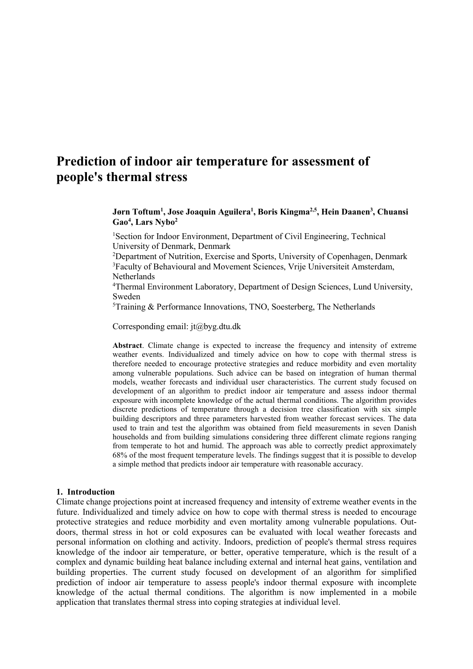# **Prediction of indoor air temperature for assessment of people's thermal stress**

**Jørn Toftum1 , Jose Joaquin Aguilera1 , Boris Kingma2,5, Hein Daanen3 , Chuansi Gao4 , Lars Nybo2**

<sup>1</sup>Section for Indoor Environment, Department of Civil Engineering, Technical University of Denmark, Denmark

<sup>2</sup>Department of Nutrition, Exercise and Sports, University of Copenhagen, Denmark 3 Faculty of Behavioural and Movement Sciences, Vrije Universiteit Amsterdam, Netherlands

4 Thermal Environment Laboratory, Department of Design Sciences, Lund University, Sweden

5 Training & Performance Innovations, TNO, Soesterberg, The Netherlands

Corresponding email: jt@byg.dtu.dk

**Abstract**. Climate change is expected to increase the frequency and intensity of extreme weather events. Individualized and timely advice on how to cope with thermal stress is therefore needed to encourage protective strategies and reduce morbidity and even mortality among vulnerable populations. Such advice can be based on integration of human thermal models, weather forecasts and individual user characteristics. The current study focused on development of an algorithm to predict indoor air temperature and assess indoor thermal exposure with incomplete knowledge of the actual thermal conditions. The algorithm provides discrete predictions of temperature through a decision tree classification with six simple building descriptors and three parameters harvested from weather forecast services. The data used to train and test the algorithm was obtained from field measurements in seven Danish households and from building simulations considering three different climate regions ranging from temperate to hot and humid. The approach was able to correctly predict approximately 68% of the most frequent temperature levels. The findings suggest that it is possible to develop a simple method that predicts indoor air temperature with reasonable accuracy.

#### **1. Introduction**

Climate change projections point at increased frequency and intensity of extreme weather events in the future. Individualized and timely advice on how to cope with thermal stress is needed to encourage protective strategies and reduce morbidity and even mortality among vulnerable populations. Outdoors, thermal stress in hot or cold exposures can be evaluated with local weather forecasts and personal information on clothing and activity. Indoors, prediction of people's thermal stress requires knowledge of the indoor air temperature, or better, operative temperature, which is the result of a complex and dynamic building heat balance including external and internal heat gains, ventilation and building properties. The current study focused on development of an algorithm for simplified prediction of indoor air temperature to assess people's indoor thermal exposure with incomplete knowledge of the actual thermal conditions. The algorithm is now implemented in a mobile application that translates thermal stress into coping strategies at individual level.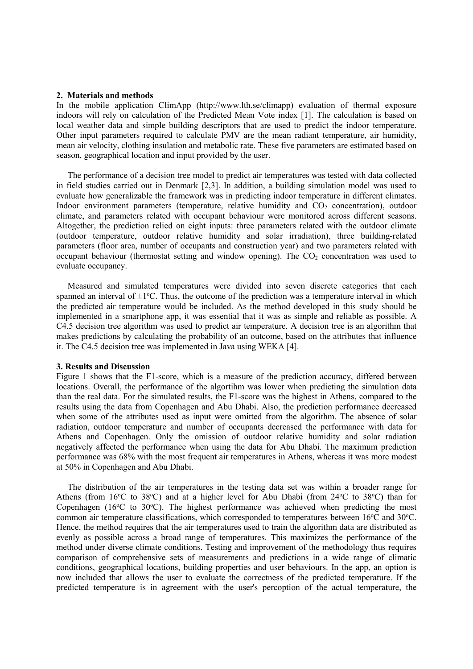### **2. Materials and methods**

In the mobile application ClimApp (http://www.lth.se/climapp) evaluation of thermal exposure indoors will rely on calculation of the Predicted Mean Vote index [1]. The calculation is based on local weather data and simple building descriptors that are used to predict the indoor temperature. Other input parameters required to calculate PMV are the mean radiant temperature, air humidity, mean air velocity, clothing insulation and metabolic rate. These five parameters are estimated based on season, geographical location and input provided by the user.

The performance of a decision tree model to predict air temperatures was tested with data collected in field studies carried out in Denmark [2,3]. In addition, a building simulation model was used to evaluate how generalizable the framework was in predicting indoor temperature in different climates. Indoor environment parameters (temperature, relative humidity and  $CO<sub>2</sub>$  concentration), outdoor climate, and parameters related with occupant behaviour were monitored across different seasons. Altogether, the prediction relied on eight inputs: three parameters related with the outdoor climate (outdoor temperature, outdoor relative humidity and solar irradiation), three building-related parameters (floor area, number of occupants and construction year) and two parameters related with occupant behaviour (thermostat setting and window opening). The  $CO<sub>2</sub>$  concentration was used to evaluate occupancy.

Measured and simulated temperatures were divided into seven discrete categories that each spanned an interval of  $\pm 1^{\circ}$ C. Thus, the outcome of the prediction was a temperature interval in which the predicted air temperature would be included. As the method developed in this study should be implemented in a smartphone app, it was essential that it was as simple and reliable as possible. A C4.5 decision tree algorithm was used to predict air temperature. A decision tree is an algorithm that makes predictions by calculating the probability of an outcome, based on the attributes that influence it. The C4.5 decision tree was implemented in Java using WEKA [4].

#### **3. Results and Discussion**

Figure 1 shows that the F1-score, which is a measure of the prediction accuracy, differed between locations. Overall, the performance of the algortihm was lower when predicting the simulation data than the real data. For the simulated results, the F1-score was the highest in Athens, compared to the results using the data from Copenhagen and Abu Dhabi. Also, the prediction performance decreased when some of the attributes used as input were omitted from the algorithm. The absence of solar radiation, outdoor temperature and number of occupants decreased the performance with data for Athens and Copenhagen. Only the omission of outdoor relative humidity and solar radiation negatively affected the performance when using the data for Abu Dhabi. The maximum prediction performance was 68% with the most frequent air temperatures in Athens, whereas it was more modest at 50% in Copenhagen and Abu Dhabi.

The distribution of the air temperatures in the testing data set was within a broader range for Athens (from  $16^{\circ}$ C to  $38^{\circ}$ C) and at a higher level for Abu Dhabi (from  $24^{\circ}$ C to  $38^{\circ}$ C) than for Copenhagen ( $16^{\circ}$ C to  $30^{\circ}$ C). The highest performance was achieved when predicting the most common air temperature classifications, which corresponded to temperatures between 16°C and 30°C. Hence, the method requires that the air temperatures used to train the algorithm data are distributed as evenly as possible across a broad range of temperatures. This maximizes the performance of the method under diverse climate conditions. Testing and improvement of the methodology thus requires comparison of comprehensive sets of measurements and predictions in a wide range of climatic conditions, geographical locations, building properties and user behaviours. In the app, an option is now included that allows the user to evaluate the correctness of the predicted temperature. If the predicted temperature is in agreement with the user's percoption of the actual temperature, the